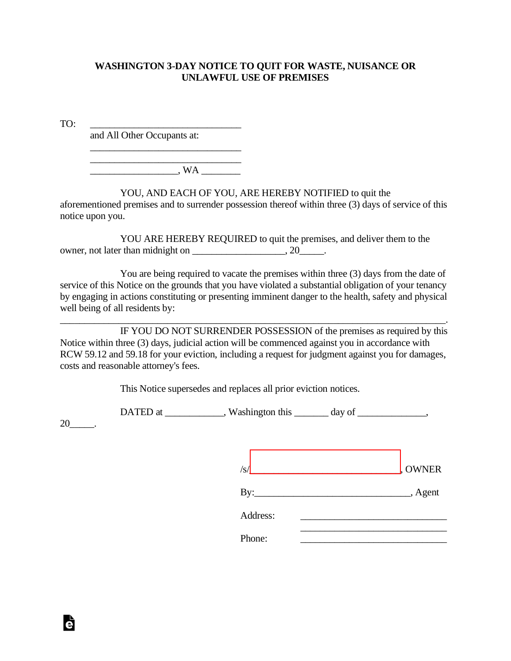## **WASHINGTON 3-DAY NOTICE TO QUIT FOR WASTE, NUISANCE OR UNLAWFUL USE OF PREMISES**

TO: \_\_\_\_\_\_\_\_\_\_\_\_\_\_\_\_\_\_\_\_\_\_\_\_\_\_\_\_\_\_\_

and All Other Occupants at:

 $\Box$  WA

\_\_\_\_\_\_\_\_\_\_\_\_\_\_\_\_\_\_\_\_\_\_\_\_\_\_\_\_\_\_\_ \_\_\_\_\_\_\_\_\_\_\_\_\_\_\_\_\_\_\_\_\_\_\_\_\_\_\_\_\_\_\_

## YOU, AND EACH OF YOU, ARE HEREBY NOTIFIED to quit the

aforementioned premises and to surrender possession thereof within three (3) days of service of this notice upon you.

YOU ARE HEREBY REQUIRED to quit the premises, and deliver them to the owner, not later than midnight on \_\_\_\_\_\_\_\_\_\_\_\_\_\_\_\_, 20\_\_\_\_\_\_.

You are being required to vacate the premises within three (3) days from the date of service of this Notice on the grounds that you have violated a substantial obligation of your tenancy by engaging in actions constituting or presenting imminent danger to the health, safety and physical well being of all residents by:

IF YOU DO NOT SURRENDER POSSESSION of the premises as required by this Notice within three (3) days, judicial action will be commenced against you in accordance with RCW 59.12 and 59.18 for your eviction, including a request for judgment against you for damages, costs and reasonable attorney's fees.

\_\_\_\_\_\_\_\_\_\_\_\_\_\_\_\_\_\_\_\_\_\_\_\_\_\_\_\_\_\_\_\_\_\_\_\_\_\_\_\_\_\_\_\_\_\_\_\_\_\_\_\_\_\_\_\_\_\_\_\_\_\_\_\_\_\_\_\_\_\_\_\_\_\_\_\_\_\_\_.

This Notice supersedes and replaces all prior eviction notices.

DATED at \_\_\_\_\_\_\_\_\_\_, Washington this \_\_\_\_\_\_ day of \_\_\_\_\_\_\_\_\_\_,

20\_\_\_\_\_.

Ġ

| /s | <b>OWNER</b><br>NIM |
|----|---------------------|
|    |                     |

By: Agent

Address:

Phone: